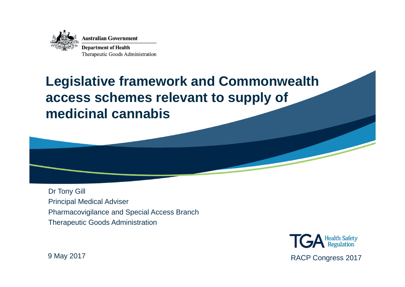

#### **Legislative framework and Commonwealth access schemes relevant to supply of medicinal cannabis**



Dr Tony Gill Principal Medical Adviser Pharmacovigilance and Special Access Branch Therapeutic Goods Administration

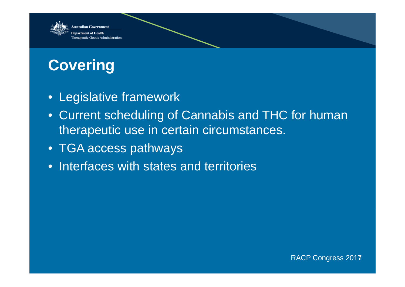

### **Covering**

- Legislative framework
- Current scheduling of Cannabis and THC for human therapeutic use in certain circumstances.
- TGA access pathways
- Interfaces with states and territories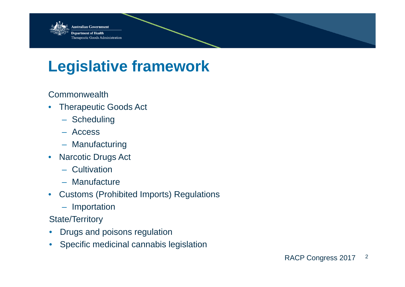

### **Legislative framework**

Commonwealth

- $\bullet$  Therapeutic Goods Act
	- Scheduling
	- Access
	- Manufacturing
- • Narcotic Drugs Act
	- Cultivation
	- Manufacture
- Customs (Prohibited Imports) Regulations
	- Importation

State/Territory

- •Drugs and poisons regulation
- Specific medicinal cannabis legislation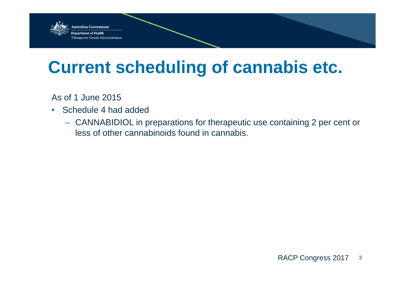

As of 1 June 2015

- Schedule 4 had added
	- CANNABIDIOL in preparations for therapeutic use containing 2 per cent or less of other cannabinoids found in cannabis.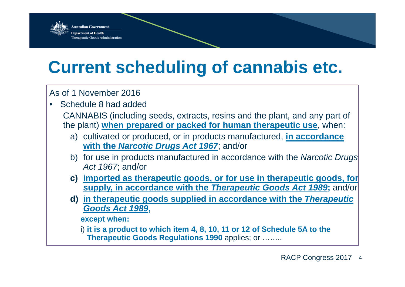

#### As of 1 November 2016

•Schedule 8 had added

> CANNABIS (including seeds, extracts, resins and the plant, and any part of the plant) **when prepared or packed for human therapeutic use**, when:

- a) cultivated or produced, or in products manufactured, **in accordance with the** *Narcotic Drugs Act 1967*; and/or
- b) for use in products manufactured in accordance with the *Narcotic Drugs Act 1967*; and/or
- **c) imported as therapeutic goods, or for use in therapeutic goods, for supply, in accordance with the** *Therapeutic Goods Act 1989***;** and/or
- **d) in therapeutic goods supplied in accordance with the** *Therapeutic Goods Act 1989***,**

**except when:**

i) **it is a product to which item 4, 8, 10, 11 or 12 of Schedule 5A to the Therapeutic Goods Regulations 1990** applies; or ……..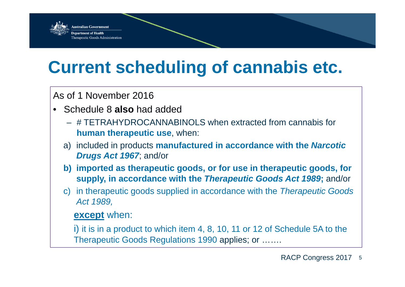

As of 1 November 2016

- Schedule 8 **also** had added
	- # TETRAHYDROCANNABINOLS when extracted from cannabis for **human therapeutic use**, when:
	- a) included in products **manufactured in accordance with the** *Narcotic Drugs Act 1967*; and/or
	- **b) imported as therapeutic goods, or for use in therapeutic goods, for supply, in accordance with the** *Therapeutic Goods Act 1989***;** and/or
	- c) in therapeutic goods supplied in accordance with the *Therapeutic Goods Act 1989,*

#### **except** when:

i) it is in a product to which item 4, 8, 10, 11 or 12 of Schedule 5A to the Therapeutic Goods Regulations 1990 applies; or …….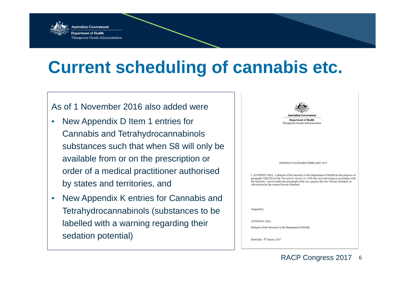

#### As of 1 November 2016 also added were

- $\bullet$  New Appendix D Item 1 entries for Cannabis and Tetrahydrocannabinols substances such that when S8 will only be available from or on the prescription or order of a medical practitioner authorised by states and territories, and
- • New Appendix K entries for Cannabis and Tetrahydrocannabinols (substances to be labelled with a warning regarding their sedation potential)

|                     | <b>Australian Government</b>                                                                                                                                                                                                                                                                                                                    |
|---------------------|-------------------------------------------------------------------------------------------------------------------------------------------------------------------------------------------------------------------------------------------------------------------------------------------------------------------------------------------------|
|                     | <b>Department of Health</b><br>Therapeutic Goods Administration                                                                                                                                                                                                                                                                                 |
|                     |                                                                                                                                                                                                                                                                                                                                                 |
|                     |                                                                                                                                                                                                                                                                                                                                                 |
|                     |                                                                                                                                                                                                                                                                                                                                                 |
|                     |                                                                                                                                                                                                                                                                                                                                                 |
|                     | POISONS STANDARD FEBRUARY 2017                                                                                                                                                                                                                                                                                                                  |
|                     |                                                                                                                                                                                                                                                                                                                                                 |
|                     | I. ANTHONY GILL, a delegate of the Secretary to the Department of Health for the purposes of<br>paragraph 52D(2)(b) of the Therapeutic Goods Act 1989 (the Act) and acting in accordance with<br>the Secretary's power under that paragraph of the Act, prepare this new Poisons Standard, in<br>substitution for the current Poisons Standard. |
|                     |                                                                                                                                                                                                                                                                                                                                                 |
|                     |                                                                                                                                                                                                                                                                                                                                                 |
| (Signed by)         |                                                                                                                                                                                                                                                                                                                                                 |
|                     |                                                                                                                                                                                                                                                                                                                                                 |
| <b>ANTHONY GILL</b> |                                                                                                                                                                                                                                                                                                                                                 |
|                     | Delegate of the Secretary to the Department of Health                                                                                                                                                                                                                                                                                           |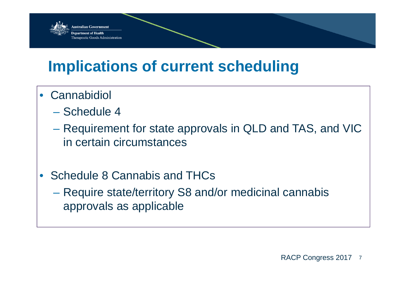

### **Implications of current scheduling**

- Cannabidiol
	- Schedule 4
	- Requirement for state approvals in QLD and TAS, and VIC in certain circumstances
- Schedule 8 Cannabis and THCs
	- **Links and Committee**  Require state/territory S8 and/or medicinal cannabis approvals as applicable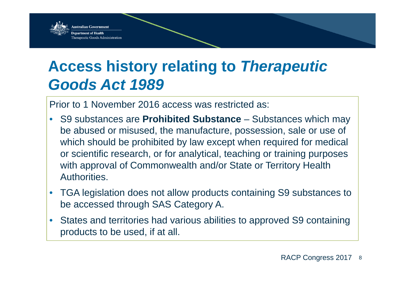

### **Access history relating to** *Therapeutic Goods Act 1989*

Prior to 1 November 2016 access was restricted as:

- $\bullet$  S9 substances are **Prohibited Substance** – Substances which may be abused or misused, the manufacture, possession, sale or use of which should be prohibited by law except when required for medical or scientific research, or for analytical, teaching or training purposes with approval of Commonwealth and/or State or Territory Health **Authorities**
- $\bullet$  TGA legislation does not allow products containing S9 substances to be accessed through SAS Category A.
- • States and territories had various abilities to approved S9 containing products to be used, if at all.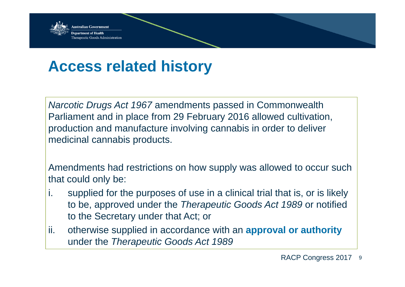

### **Access related history**

*Narcotic Drugs Act 1967* amendments passed in Commonwealth Parliament and in place from 29 February 2016 allowed cultivation, production and manufacture involving cannabis in order to deliver medicinal cannabis products.

Amendments had restrictions on how supply was allowed to occur such that could only be:

- i. supplied for the purposes of use in a clinical trial that is, or is likely to be, approved under the *Therapeutic Goods Act 1989* or notified to the Secretary under that Act; or
- ii. otherwise supplied in accordance with an **approval or authority**  under the *Therapeutic Goods Act 1989*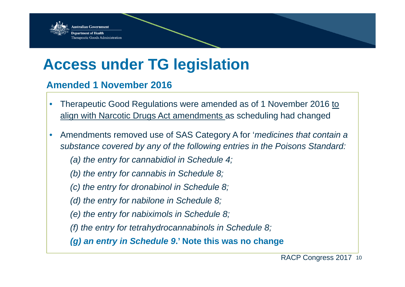

#### **Access under TG legislation**

#### **Amended 1 November 2016**

- • Therapeutic Good Regulations were amended as of 1 November 2016 to align with Narcotic Drugs Act amendments as scheduling had changed
- $\bullet$  Amendments removed use of SAS Category A for '*medicines that contain a substance covered by any of the following entries in the Poisons Standard:* 
	- *(a) the entry for cannabidiol in Schedule 4;*
	- *(b) the entry for cannabis in Schedule 8;*
	- *(c) the entry for dronabinol in Schedule 8;*
	- *(d) the entry for nabilone in Schedule 8;*
	- *(e) the entry for nabiximols in Schedule 8;*
	- *(f) the entry for tetrahydrocannabinols in Schedule 8;*

*(g) an entry in Schedule 9***.' Note this was no change**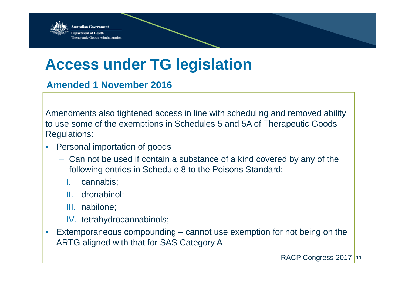

#### **Access under TG legislation**

**Amended 1 November 2016**

Amendments also tightened access in line with scheduling and removed ability to use some of the exemptions in Schedules 5 and 5A of Therapeutic Goods Regulations:

- $\bullet$  Personal importation of goods
	- Can not be used if contain a substance of a kind covered by any of the following entries in Schedule 8 to the Poisons Standard:
		- I.cannabis;
		- II. dronabinol;
		- III. nabilone;
		- IV. tetrahydrocannabinols;
- • Extemporaneous compounding – cannot use exemption for not being on the ARTG aligned with that for SAS Category A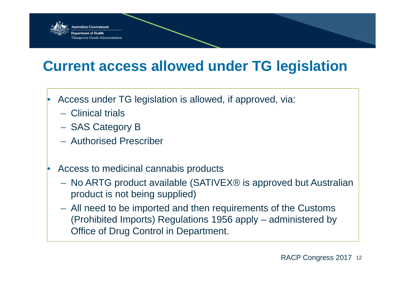

#### **Current access allowed under TG legislation**

- • Access under TG legislation is allowed, if approved, via:
	- Clinical trials

•

- SAS Category B
- Authorised Prescriber
- Access to medicinal cannabis products
	- No ARTG product available (SATIVEX® is approved but Australian product is not being supplied)
	- All need to be imported and then requirements of the Customs (Prohibited Imports) Regulations 1956 apply – administered by Office of Drug Control in Department.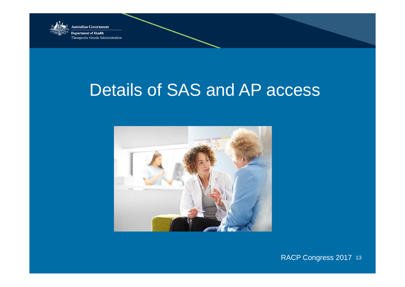

**Department of Health** Therapeutic Goods Administration

### Details of SAS and AP access



RACP Congress 2017 <sup>13</sup>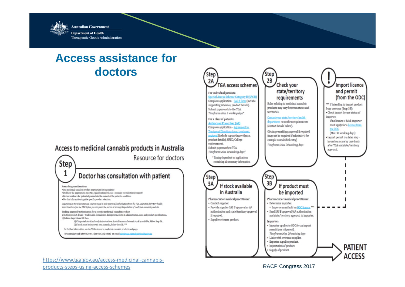

#### **Access assistance for doctors**

#### Access to medicinal cannabis products in Australia

Resource for doctors







RACP Congress 2017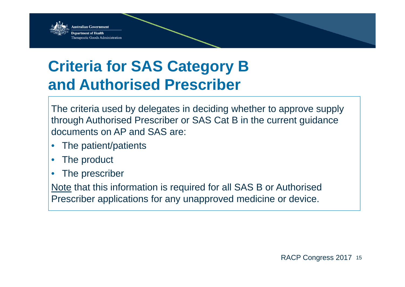

### **Criteria for SAS Category B and Authorised Prescriber**

The criteria used by delegates in deciding whether to approve supply through Authorised Prescriber or SAS Cat B in the current guidance documents on AP and SAS are:

- •The patient/patients
- $\bullet$ The product
- •The prescriber

Note that this information is required for all SAS B or Authorised Prescriber applications for any unapproved medicine or device.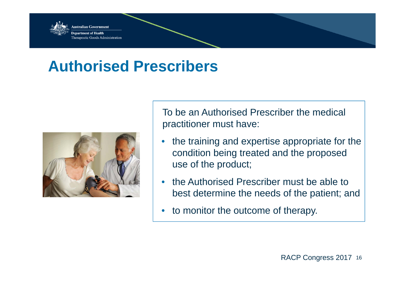

#### **Authorised Prescribers**



To be an Authorised Prescriber the medical practitioner must have:

- • the training and expertise appropriate for the condition being treated and the proposed use of the product;
- • the Authorised Prescriber must be able to best determine the needs of the patient; and
- •to monitor the outcome of therapy.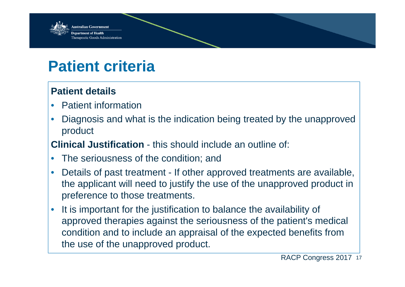

### **Patient criteria**

#### **Patient details**

- •Patient information
- • Diagnosis and what is the indication being treated by the unapproved product

**Clinical Justification** - this should include an outline of:

- •The seriousness of the condition; and
- • Details of past treatment - If other approved treatments are available, the applicant will need to justify the use of the unapproved product in preference to those treatments.
- • It is important for the justification to balance the availability of approved therapies against the seriousness of the patient's medical condition and to include an appraisal of the expected benefits from the use of the unapproved product.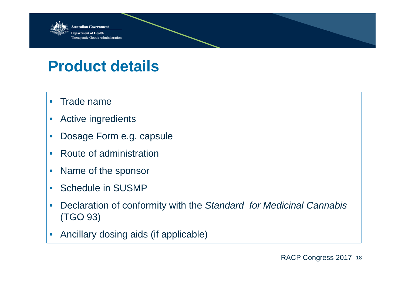

#### **Product details**

- $\bullet$ Trade name
- $\bullet$ Active ingredients
- $\bullet$ Dosage Form e.g. capsule
- $\bullet$ • Route of administration
- $\bullet$ Name of the sponsor
- $\bullet$ Schedule in SUSMP
- $\bullet$  Declaration of conformity with the *Standard for Medicinal Cannabis*  (TGO 93)
- $\bullet$ Ancillary dosing aids (if applicable)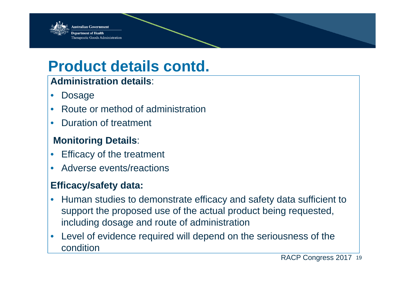

#### **Product details contd.**

#### **Administration details**:

- •Dosage
- $\bullet$ Route or method of administration
- $\bullet$ Duration of treatment

#### **Monitoring Details**:

- $\bullet$ Efficacy of the treatment
- •Adverse events/reactions

#### **Efficacy/safety data:**

- $\bullet$  Human studies to demonstrate efficacy and safety data sufficient to support the proposed use of the actual product being requested, including dosage and route of administration
- $\bullet$  Level of evidence required will depend on the seriousness of the condition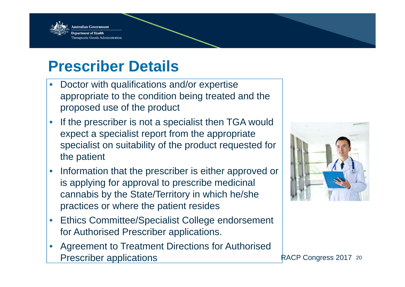

#### **Prescriber Details**

- • Doctor with qualifications and/or expertise appropriate to the condition being treated and the proposed use of the product
- • If the prescriber is not a specialist then TGA would expect a specialist report from the appropriate specialist on suitability of the product requested for the patient
- $\bullet$  Information that the prescriber is either approved or is applying for approval to prescribe medicinal cannabis by the State/Territory in which he/she practices or where the patient resides
- • Ethics Committee/Specialist College endorsement for Authorised Prescriber applications.
- • Agreement to Treatment Directions for Authorised Prescriber applications **Prescriber applications RACP Congress 2017** 20

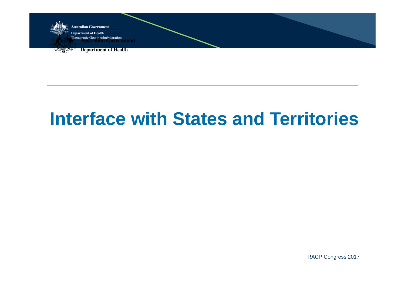

## **Interface with States and Territories**

RACP Congress 2017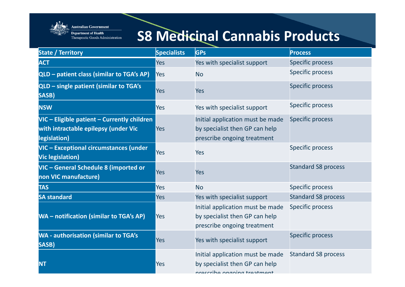

**Australian Government Department of Health** Therapeutic Goods Administration

#### **S8 Medicinal Cannabis Products**

| <b>State / Territory</b>                                                                            | <b>Specialists</b> | <b>GPs</b>                                                                                        | <b>Process</b>             |
|-----------------------------------------------------------------------------------------------------|--------------------|---------------------------------------------------------------------------------------------------|----------------------------|
| <b>ACT</b>                                                                                          | Yes                | Yes with specialist support                                                                       | <b>Specific process</b>    |
| QLD - patient class (similar to TGA's AP)                                                           | Yes                | <b>No</b>                                                                                         | <b>Specific process</b>    |
| QLD - single patient (similar to TGA's<br>SASB)                                                     | <b>Yes</b>         | <b>Yes</b>                                                                                        | <b>Specific process</b>    |
| <b>NSW</b>                                                                                          | <b>Yes</b>         | Yes with specialist support                                                                       | <b>Specific process</b>    |
| VIC - Eligible patient - Currently children<br>with intractable epilepsy (under Vic<br>legislation) | Yes                | Initial application must be made<br>by specialist then GP can help<br>prescribe ongoing treatment | <b>Specific process</b>    |
| VIC - Exceptional circumstances (under<br><b>Vic legislation)</b>                                   | <b>Yes</b>         | <b>Yes</b>                                                                                        | <b>Specific process</b>    |
| VIC - General Schedule 8 (imported or<br>non VIC manufacture)                                       | <b>Yes</b>         | <b>Yes</b>                                                                                        | <b>Standard S8 process</b> |
| <b>TAS</b>                                                                                          | Yes                | <b>No</b>                                                                                         | <b>Specific process</b>    |
| <b>SA standard</b>                                                                                  | <b>Yes</b>         | Yes with specialist support                                                                       | <b>Standard S8 process</b> |
| WA - notification (similar to TGA's AP)                                                             | <b>Yes</b>         | Initial application must be made<br>by specialist then GP can help<br>prescribe ongoing treatment | <b>Specific process</b>    |
| <b>WA - authorisation (similar to TGA's</b><br>SASB)                                                | <b>Yes</b>         | Yes with specialist support                                                                       | <b>Specific process</b>    |
| <b>NT</b>                                                                                           | <b>Yes</b>         | Initial application must be made<br>by specialist then GP can help<br>nreccribe ongoing treatment | <b>Standard S8 process</b> |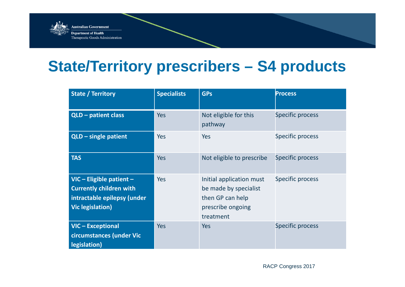

#### **State/Territory prescribers – S4 products**

| <b>State / Territory</b>                                                                                             | <b>Specialists</b> | <b>GPs</b>                                                                                              | <b>Process</b>          |
|----------------------------------------------------------------------------------------------------------------------|--------------------|---------------------------------------------------------------------------------------------------------|-------------------------|
| QLD - patient class                                                                                                  | <b>Yes</b>         | Not eligible for this<br>pathway                                                                        | Specific process        |
| $QLD - single patient$                                                                                               | <b>Yes</b>         | <b>Yes</b>                                                                                              | Specific process        |
| <b>TAS</b>                                                                                                           | <b>Yes</b>         | Not eligible to prescribe                                                                               | <b>Specific process</b> |
| VIC - Eligible patient -<br><b>Currently children with</b><br>intractable epilepsy (under<br><b>Vic legislation)</b> | <b>Yes</b>         | Initial application must<br>be made by specialist<br>then GP can help<br>prescribe ongoing<br>treatment | Specific process        |
| VIC-Exceptional<br>circumstances (under Vic<br>legislation)                                                          | <b>Yes</b>         | <b>Yes</b>                                                                                              | <b>Specific process</b> |

RACP Congress 2017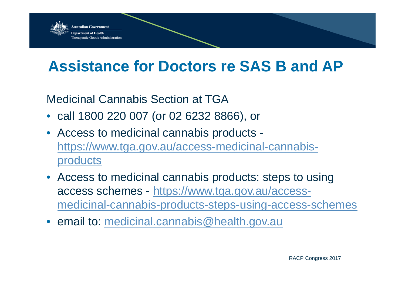

### **Assistance for Doctors re SAS B and AP**

Medicinal Cannabis Section at TGA

- call 1800 220 007 (or 02 6232 8866), or
- Access to medicinal cannabis products https://www.tga.gov.au/access-medicinal-cannabisproducts
- Access to medicinal cannabis products: steps to using access schemes - https://www.tga.gov.au/accessmedicinal-cannabis-products-steps-using-access-schemes
- email to: medicinal.cannabis@health.gov.au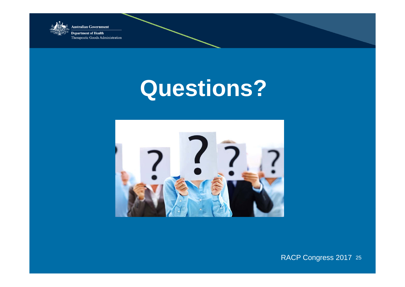

**Department of Health** Therapeutic Goods Administration

# **Questions?**



RACP Congress 2017 <sup>25</sup>